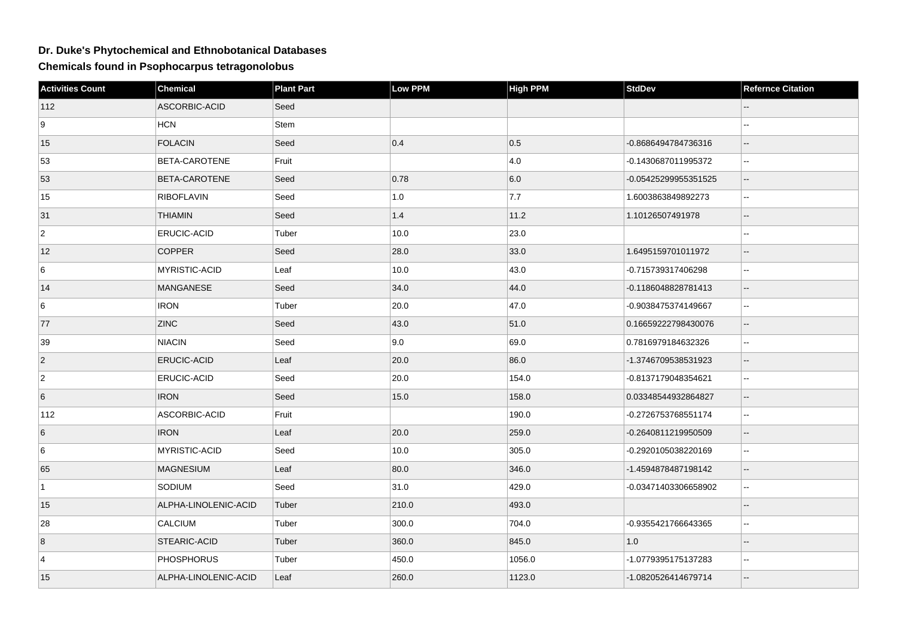## **Dr. Duke's Phytochemical and Ethnobotanical Databases**

**Chemicals found in Psophocarpus tetragonolobus**

| <b>Activities Count</b> | Chemical             | <b>Plant Part</b> | Low PPM | <b>High PPM</b> | <b>StdDev</b>        | <b>Refernce Citation</b> |
|-------------------------|----------------------|-------------------|---------|-----------------|----------------------|--------------------------|
| 112                     | ASCORBIC-ACID        | Seed              |         |                 |                      |                          |
| 9                       | HCN                  | Stem              |         |                 |                      | $-1$                     |
| 15                      | <b>FOLACIN</b>       | Seed              | 0.4     | 0.5             | -0.8686494784736316  | --                       |
| 53                      | BETA-CAROTENE        | Fruit             |         | 4.0             | -0.1430687011995372  | $\overline{\phantom{a}}$ |
| 53                      | BETA-CAROTENE        | Seed              | 0.78    | 6.0             | -0.05425299955351525 | $\overline{\phantom{a}}$ |
| 15                      | <b>RIBOFLAVIN</b>    | Seed              | 1.0     | 7.7             | 1.6003863849892273   | $\sim$ $\sim$            |
| 31                      | <b>THIAMIN</b>       | Seed              | $1.4$   | 11.2            | 1.10126507491978     | $\overline{\phantom{a}}$ |
| $\overline{2}$          | <b>ERUCIC-ACID</b>   | Tuber             | 10.0    | 23.0            |                      | $\sim$ $\sim$            |
| 12                      | <b>COPPER</b>        | Seed              | 28.0    | 33.0            | 1.6495159701011972   | $-$                      |
| 6                       | MYRISTIC-ACID        | Leaf              | 10.0    | 43.0            | -0.715739317406298   | $\mathbb{L}^2$           |
| 14                      | <b>MANGANESE</b>     | Seed              | 34.0    | 44.0            | -0.1186048828781413  | $\overline{\phantom{a}}$ |
| 6                       | <b>IRON</b>          | Tuber             | 20.0    | 47.0            | -0.9038475374149667  | $-1$                     |
| 77                      | <b>ZINC</b>          | Seed              | 43.0    | 51.0            | 0.16659222798430076  | $\overline{\phantom{a}}$ |
| 39                      | <b>NIACIN</b>        | Seed              | 9.0     | 69.0            | 0.7816979184632326   | $\overline{\phantom{a}}$ |
| $\vert$ 2               | ERUCIC-ACID          | Leaf              | 20.0    | 86.0            | -1.3746709538531923  | --                       |
| $\overline{2}$          | ERUCIC-ACID          | Seed              | 20.0    | 154.0           | -0.8137179048354621  | $\sim$ $\sim$            |
| 6                       | <b>IRON</b>          | Seed              | 15.0    | 158.0           | 0.03348544932864827  | $\overline{\phantom{a}}$ |
| 112                     | ASCORBIC-ACID        | Fruit             |         | 190.0           | -0.2726753768551174  | Щ,                       |
| 6                       | <b>IRON</b>          | Leaf              | 20.0    | 259.0           | -0.2640811219950509  | --                       |
| 6                       | MYRISTIC-ACID        | Seed              | 10.0    | 305.0           | -0.2920105038220169  | $\overline{\phantom{a}}$ |
| 65                      | <b>MAGNESIUM</b>     | Leaf              | 80.0    | 346.0           | -1.4594878487198142  | ш,                       |
| $\overline{1}$          | SODIUM               | Seed              | 31.0    | 429.0           | -0.03471403306658902 | $\overline{\phantom{a}}$ |
| 15                      | ALPHA-LINOLENIC-ACID | Tuber             | 210.0   | 493.0           |                      | $-$                      |
| 28                      | <b>CALCIUM</b>       | Tuber             | 300.0   | 704.0           | -0.9355421766643365  | --                       |
| $\boldsymbol{8}$        | STEARIC-ACID         | Tuber             | 360.0   | 845.0           | 1.0                  |                          |
| $\overline{4}$          | <b>PHOSPHORUS</b>    | Tuber             | 450.0   | 1056.0          | -1.0779395175137283  | ц.                       |
| 15                      | ALPHA-LINOLENIC-ACID | Leaf              | 260.0   | 1123.0          | -1.0820526414679714  |                          |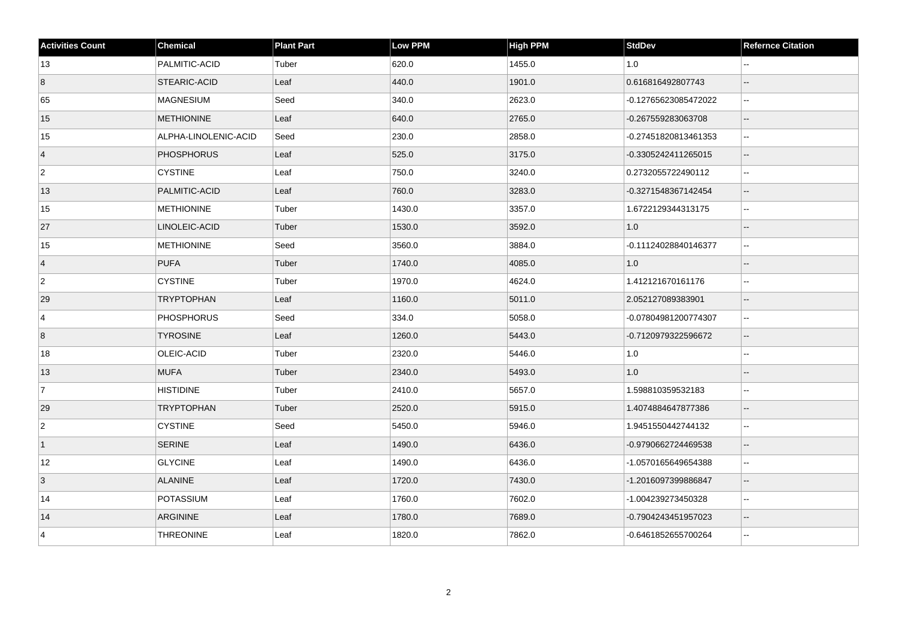| <b>Activities Count</b> | <b>Chemical</b>      | <b>Plant Part</b> | <b>Low PPM</b> | <b>High PPM</b> | <b>StdDev</b>        | <b>Refernce Citation</b>    |
|-------------------------|----------------------|-------------------|----------------|-----------------|----------------------|-----------------------------|
| 13                      | PALMITIC-ACID        | Tuber             | 620.0          | 1455.0          | 1.0                  |                             |
| $\overline{8}$          | STEARIC-ACID         | Leaf              | 440.0          | 1901.0          | 0.616816492807743    | $\overline{\phantom{a}}$    |
| 65                      | <b>MAGNESIUM</b>     | Seed              | 340.0          | 2623.0          | -0.12765623085472022 | $\mathcal{L}_{\mathcal{F}}$ |
| 15                      | <b>METHIONINE</b>    | Leaf              | 640.0          | 2765.0          | -0.267559283063708   | $\overline{\phantom{a}}$    |
| 15                      | ALPHA-LINOLENIC-ACID | Seed              | 230.0          | 2858.0          | -0.27451820813461353 | $\sim$                      |
| $\vert 4 \vert$         | <b>PHOSPHORUS</b>    | Leaf              | 525.0          | 3175.0          | -0.3305242411265015  | $\overline{\phantom{a}}$    |
| $\overline{2}$          | <b>CYSTINE</b>       | Leaf              | 750.0          | 3240.0          | 0.2732055722490112   | $\overline{a}$              |
| 13                      | PALMITIC-ACID        | Leaf              | 760.0          | 3283.0          | -0.3271548367142454  | $\mathbf{u}$                |
| 15                      | <b>METHIONINE</b>    | Tuber             | 1430.0         | 3357.0          | 1.6722129344313175   | $\mathbb{L}^2$              |
| 27                      | LINOLEIC-ACID        | Tuber             | 1530.0         | 3592.0          | 1.0                  | $\overline{\phantom{a}}$    |
| 15                      | <b>METHIONINE</b>    | Seed              | 3560.0         | 3884.0          | -0.11124028840146377 | $\mathbb{L}^2$              |
| $\vert 4 \vert$         | <b>PUFA</b>          | Tuber             | 1740.0         | 4085.0          | 1.0                  | $\overline{\phantom{a}}$    |
| $\overline{2}$          | <b>CYSTINE</b>       | Tuber             | 1970.0         | 4624.0          | 1.412121670161176    | $\sim$ $\sim$               |
| 29                      | <b>TRYPTOPHAN</b>    | Leaf              | 1160.0         | 5011.0          | 2.052127089383901    | $\overline{\phantom{a}}$    |
| $\overline{4}$          | <b>PHOSPHORUS</b>    | Seed              | 334.0          | 5058.0          | -0.07804981200774307 | $\mathbf{L}$                |
| $\overline{8}$          | <b>TYROSINE</b>      | Leaf              | 1260.0         | 5443.0          | -0.7120979322596672  | $\sim$                      |
| 18                      | OLEIC-ACID           | Tuber             | 2320.0         | 5446.0          | 1.0                  | $\sim$                      |
| 13                      | <b>MUFA</b>          | Tuber             | 2340.0         | 5493.0          | 1.0                  | $\overline{\phantom{a}}$    |
| 7                       | <b>HISTIDINE</b>     | Tuber             | 2410.0         | 5657.0          | 1.598810359532183    | $\sim$ $\sim$               |
| 29                      | <b>TRYPTOPHAN</b>    | Tuber             | 2520.0         | 5915.0          | 1.4074884647877386   | $\overline{\phantom{a}}$    |
| $\overline{2}$          | <b>CYSTINE</b>       | Seed              | 5450.0         | 5946.0          | 1.9451550442744132   | $\sim$                      |
| $\vert$ 1               | <b>SERINE</b>        | Leaf              | 1490.0         | 6436.0          | -0.9790662724469538  | $\overline{\phantom{a}}$    |
| 12                      | <b>GLYCINE</b>       | Leaf              | 1490.0         | 6436.0          | -1.0570165649654388  | $\ddotsc$                   |
| 3                       | <b>ALANINE</b>       | Leaf              | 1720.0         | 7430.0          | -1.2016097399886847  | $\overline{\phantom{a}}$    |
| 14                      | <b>POTASSIUM</b>     | Leaf              | 1760.0         | 7602.0          | -1.004239273450328   | $\sim$                      |
| 14                      | ARGININE             | Leaf              | 1780.0         | 7689.0          | -0.7904243451957023  | $\overline{\phantom{a}}$    |
| $\overline{4}$          | <b>THREONINE</b>     | Leaf              | 1820.0         | 7862.0          | -0.6461852655700264  | $\mathbf{u}$                |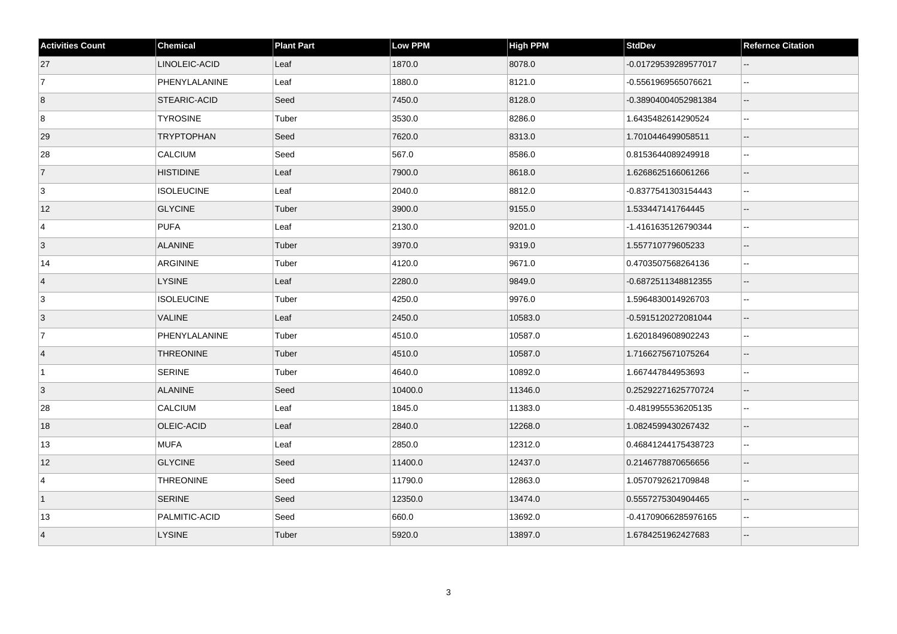| <b>Activities Count</b> | <b>Chemical</b>   | <b>Plant Part</b> | <b>Low PPM</b> | <b>High PPM</b> | <b>StdDev</b>        | <b>Refernce Citation</b> |
|-------------------------|-------------------|-------------------|----------------|-----------------|----------------------|--------------------------|
| 27                      | LINOLEIC-ACID     | Leaf              | 1870.0         | 8078.0          | -0.01729539289577017 | $\sim$                   |
| $\vert$ 7               | PHENYLALANINE     | Leaf              | 1880.0         | 8121.0          | -0.5561969565076621  | $\Box$                   |
| 8                       | STEARIC-ACID      | Seed              | 7450.0         | 8128.0          | -0.38904004052981384 | $\overline{\phantom{a}}$ |
| 8                       | <b>TYROSINE</b>   | Tuber             | 3530.0         | 8286.0          | 1.6435482614290524   | $\mathbf{u}$             |
| 29                      | <b>TRYPTOPHAN</b> | Seed              | 7620.0         | 8313.0          | 1.7010446499058511   | $-$                      |
| 28                      | <b>CALCIUM</b>    | Seed              | 567.0          | 8586.0          | 0.8153644089249918   | $\overline{\phantom{a}}$ |
| $\vert$ 7               | <b>HISTIDINE</b>  | Leaf              | 7900.0         | 8618.0          | 1.6268625166061266   | $\overline{\phantom{a}}$ |
| 3                       | <b>ISOLEUCINE</b> | Leaf              | 2040.0         | 8812.0          | -0.8377541303154443  | $\sim$                   |
| 12                      | <b>GLYCINE</b>    | Tuber             | 3900.0         | 9155.0          | 1.533447141764445    | $\mathbf{u}$             |
| $\overline{4}$          | <b>PUFA</b>       | Leaf              | 2130.0         | 9201.0          | -1.4161635126790344  |                          |
| 3                       | <b>ALANINE</b>    | Tuber             | 3970.0         | 9319.0          | 1.557710779605233    | $\sim$                   |
| 14                      | ARGININE          | Tuber             | 4120.0         | 9671.0          | 0.4703507568264136   | $\sim$                   |
| 4                       | <b>LYSINE</b>     | Leaf              | 2280.0         | 9849.0          | -0.6872511348812355  | $\mathbf{L}$             |
| 3                       | <b>ISOLEUCINE</b> | Tuber             | 4250.0         | 9976.0          | 1.5964830014926703   | $\overline{\phantom{a}}$ |
| 3                       | <b>VALINE</b>     | Leaf              | 2450.0         | 10583.0         | -0.5915120272081044  | $\overline{\phantom{a}}$ |
| <sup>7</sup>            | PHENYLALANINE     | Tuber             | 4510.0         | 10587.0         | 1.6201849608902243   | $\sim$                   |
| 4                       | <b>THREONINE</b>  | Tuber             | 4510.0         | 10587.0         | 1.7166275671075264   | $\sim$                   |
| $\vert$ 1               | <b>SERINE</b>     | Tuber             | 4640.0         | 10892.0         | 1.667447844953693    | $\sim$                   |
| 3                       | <b>ALANINE</b>    | Seed              | 10400.0        | 11346.0         | 0.25292271625770724  |                          |
| 28                      | CALCIUM           | Leaf              | 1845.0         | 11383.0         | -0.4819955536205135  | $-$                      |
| 18                      | OLEIC-ACID        | Leaf              | 2840.0         | 12268.0         | 1.0824599430267432   | $\overline{\phantom{a}}$ |
| 13                      | <b>MUFA</b>       | Leaf              | 2850.0         | 12312.0         | 0.46841244175438723  | $\mathbf{u}$             |
| 12                      | <b>GLYCINE</b>    | Seed              | 11400.0        | 12437.0         | 0.2146778870656656   | ă.                       |
| $\overline{4}$          | <b>THREONINE</b>  | Seed              | 11790.0        | 12863.0         | 1.0570792621709848   | $\sim$                   |
| $\vert$ 1               | <b>SERINE</b>     | Seed              | 12350.0        | 13474.0         | 0.5557275304904465   | $\overline{a}$           |
| 13                      | PALMITIC-ACID     | Seed              | 660.0          | 13692.0         | -0.41709066285976165 | $\sim$ $\sim$            |
| $\overline{4}$          | <b>LYSINE</b>     | Tuber             | 5920.0         | 13897.0         | 1.6784251962427683   |                          |